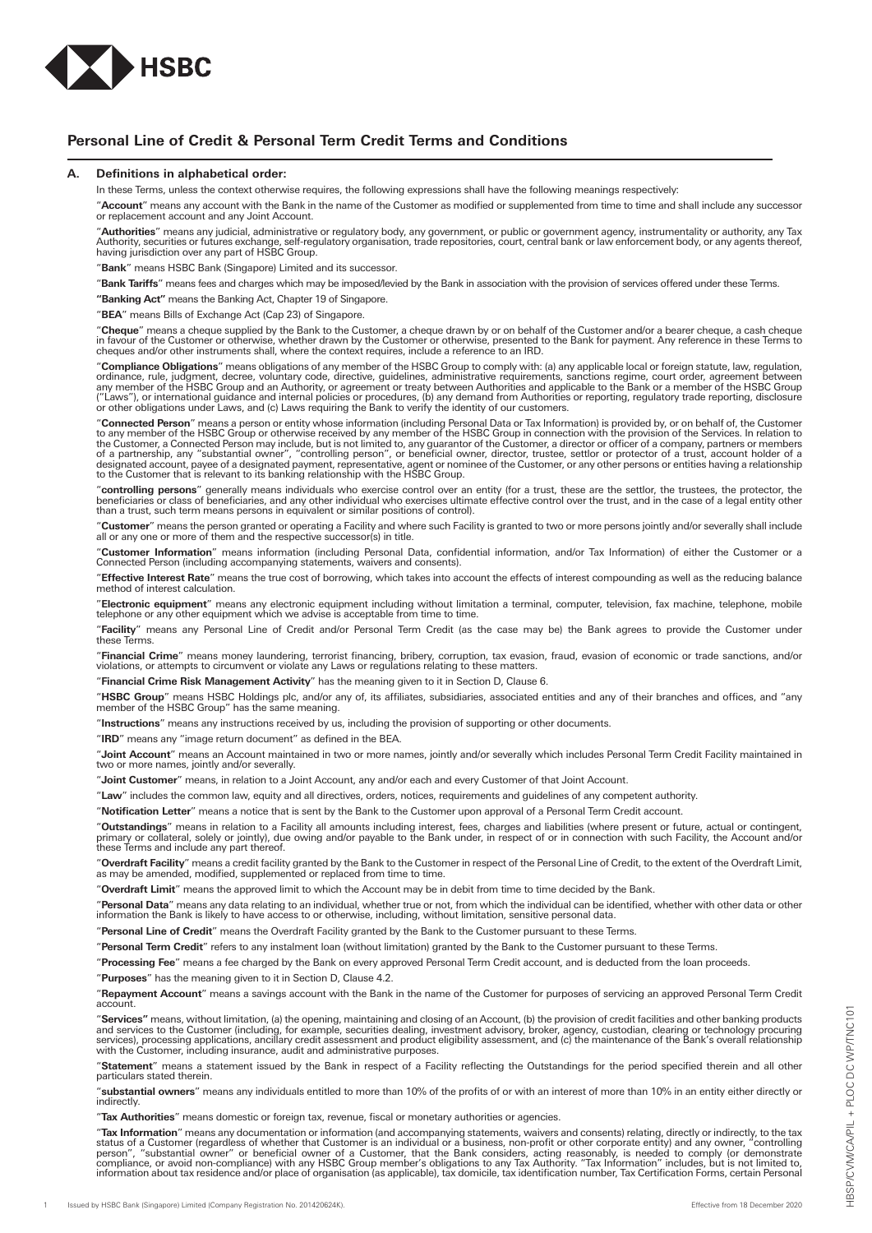

# **Personal Line of Credit & Personal Term Credit Terms and Conditions**

# **A. Definitions in alphabetical order:**

In these Terms, unless the context otherwise requires, the following expressions shall have the following meanings respectively:

"**Account**" means any account with the Bank in the name of the Customer as modified or supplemented from time to time and shall include any successor or replacement account and any Joint Account.

"**Authorities**" means any judicial, administrative or regulatory body, any government, or public or government agency, instrumentality or authority, any Tax<br>Authority, securities or futures exchange, self-regulatory organi

"**Bank**" means HSBC Bank (Singapore) Limited and its successor.

"**Bank Tariffs**" means fees and charges which may be imposed/levied by the Bank in association with the provision of services offered under these Terms.

**"Banking Act"** means the Banking Act, Chapter 19 of Singapore.

"**BEA**" means Bills of Exchange Act (Cap 23) of Singapore.

"**Cheque**" means a cheque supplied by the Bank to the Customer, a cheque drawn by or on behalf of the Customer and/or a bearer cheque, a cash cheque in favour of the Customer or otherwise, whether drawn by the Customer or otherwise, presented to the Bank for payment. Any reference in these Terms to<br>cheques and/or other instruments shall, where the context requires, inc

"**Compliance Obligations**" means obligations of any member of the HSBC Group to comply with: (a) any applicable local or foreign statute, law, regulation, ordinance, rule, judgment, decree, voluntary code, directive, guidelines, administrative requirements, sanctions regime, court order, agreement between<br>any member of the HSBC Group and an Authority, or agreement or treaty

"**Connected Person**" means a person or entity whose information (including Personal Data or Tax Information) is provided by, or on behalf of, the Customer<br>to any member of the HSBC Group or otherwise received by any member

"**controlling persons**" generally means individuals who exercise control over an entity (for a trust, these are the settlor, the trustees, the protector, the<br>beneficiaries or class of beneficiaries, and any other individua

"**Customer**" means the person granted or operating a Facility and where such Facility is granted to two or more persons jointly and/or severally shall include<br>all or any one or more of them and the respective successor(s)

"**Customer Information**" means information (including Personal Data, confidential information, and/or Tax Information) of either the Customer or a<br>Connected Person (including accompanying statements, waivers and consents).

"**Effective Interest Rate**" means the true cost of borrowing, which takes into account the effects of interest compounding as well as the reducing balance method of interest calculation.

"**Electronic equipment**" means any electronic equipment including without limitation a terminal, computer, television, fax machine, telephone, mobile telephone or any other equipment which we advise is acceptable from time to time.

"**Facility**" means any Personal Line of Credit and/or Personal Term Credit (as the case may be) the Bank agrees to provide the Customer under these Terms.

"**Financial Crime**" means money laundering, terrorist financing, bribery, corruption, tax evasion, fraud, evasion of economic or trade sanctions, and/or<br>violations, or attempts to circumvent or violate any Laws or regulati

"**Financial Crime Risk Management Activity**" has the meaning given to it in Section D, Clause 6.

"HSBC Group" means HSBC Holdings plc, and/or any of, its affiliates, subsidiaries, associated entities and any of their branches and offices, and "any member of the HSBC Group" has the same meaning.

"**Instructions**" means any instructions received by us, including the provision of supporting or other documents.

"**IRD**" means any "image return document" as defined in the BEA.

"**Joint Account**" means an Account maintained in two or more names, jointly and/or severally which includes Personal Term Credit Facility maintained in two or more names, jointly and/or severally.

"**Joint Customer**" means, in relation to a Joint Account, any and/or each and every Customer of that Joint Account.

"**Law**" includes the common law, equity and all directives, orders, notices, requirements and guidelines of any competent authority.

"**Notification Letter**" means a notice that is sent by the Bank to the Customer upon approval of a Personal Term Credit account.

"**Outstandings**" means in relation to a Facility all amounts including interest, fees, charges and liabilities (where present or future, actual or contingent,<br>primary or collateral, solely or jointly), due owing and/or pay these Terms and include any part thereof.

"**Overdraft Facility**" means a credit facility granted by the Bank to the Customer in respect of the Personal Line of Credit, to the extent of the Overdraft Limit,<br>as may be amended, modified, supplemented or replaced from

"**Overdraft Limit**" means the approved limit to which the Account may be in debit from time to time decided by the Bank.

"**Personal Data**" means any data relating to an individual, whether true or not, from which the individual can be identified, whether with other data or other<br>information the Bank is likely to have access to or otherwise,

"**Personal Line of Credit**" means the Overdraft Facility granted by the Bank to the Customer pursuant to these Terms.

"**Personal Term Credit**" refers to any instalment loan (without limitation) granted by the Bank to the Customer pursuant to these Terms.

"**Processing Fee**" means a fee charged by the Bank on every approved Personal Term Credit account, and is deducted from the loan proceeds.

"**Purposes**" has the meaning given to it in Section D, Clause 4.2.

"**Repayment Account**" means a savings account with the Bank in the name of the Customer for purposes of servicing an approved Personal Term Credit account.

"**Services"** means, without limitation, (a) the opening, maintaining and closing of an Account, (b) the provision of credit facilities and other banking products<br>and services to the Customer (including, for example, securi

"**Statement**" means a statement issued by the Bank in respect of a Facility reflecting the Outstandings for the period specified therein and all other particulars stated therein.

"**substantial owners**" means any individuals entitled to more than 10% of the profits of or with an interest of more than 10% in an entity either directly or indirectly.

"**Tax Authorities**" means domestic or foreign tax, revenue, fiscal or monetary authorities or agencies.

"**Tax Information**" means any documentation or information (and accompanying statements, waivers and consents) relating, directly or indirectly, to the tax<br>patus of a Customer (regardless of whether that Customer is an ind information about tax residence and/or place of organisation (as applicable), tax domicile, tax identification number, Tax Certification Forms, certain Personal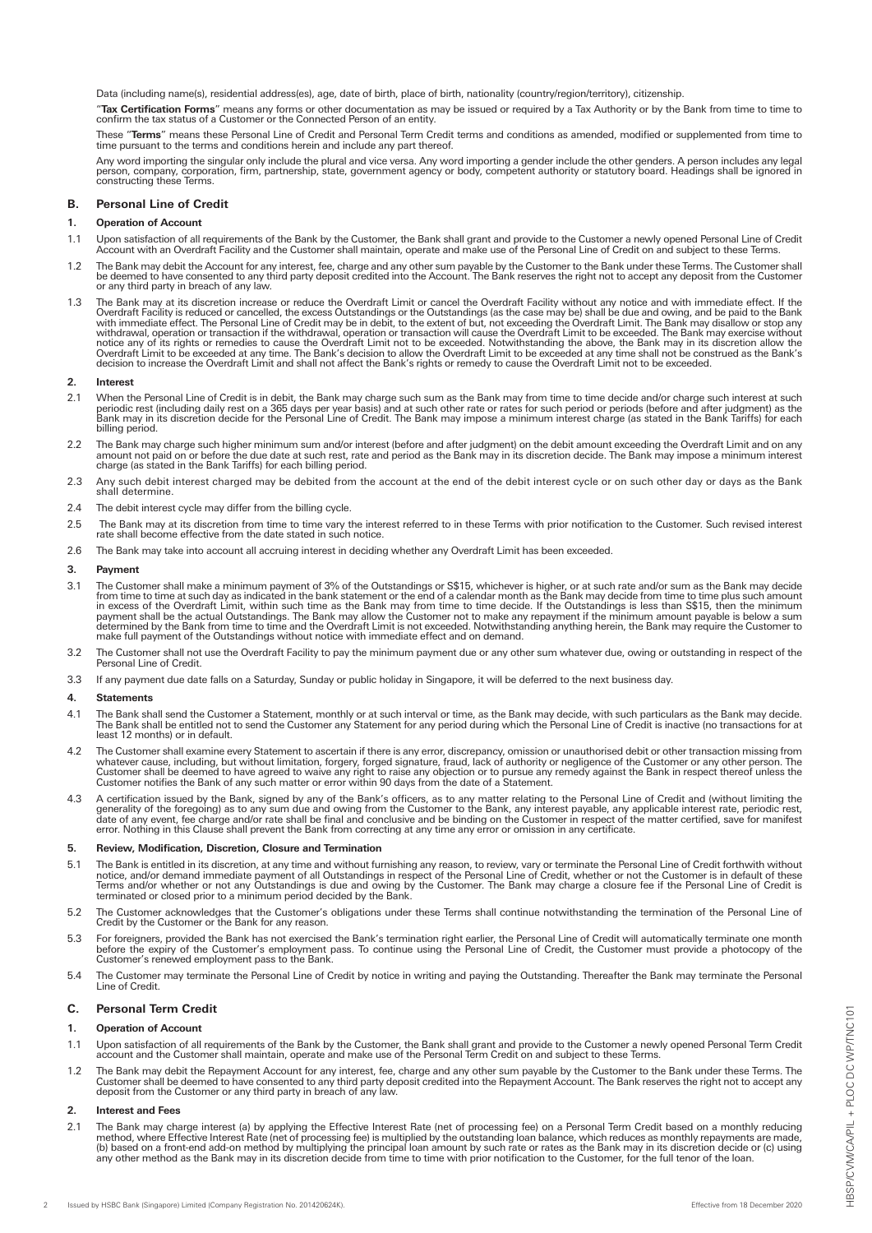Data (including name(s), residential address(es), age, date of birth, place of birth, nationality (country/region/territory), citizenship.

"**Tax Certification Forms**" means any forms or other documentation as may be issued or required by a Tax Authority or by the Bank from time to time to<br>confirm the tax status of a Customer or the Connected Person of an enti

These "Terms" means these Personal Line of Credit and Personal Term Credit terms and conditions as amended, modified or supplemented from time to the terms and conditions herein and include any part thereof. time pursuant to the terms and conditions herein and include any part thereof.

Any word importing the singular only include the plural and vice versa. Any word importing a gender include the other genders. A person includes any legal<br>person, company, corporation, firm, partnership, state, government

# **B. Personal Line of Credit**

# **1. Operation of Account**

- 1.1 Upon satisfaction of all requirements of the Bank by the Customer, the Bank shall grant and provide to the Customer a newly opened Personal Line of Credit Account with an Overdraft Facility and the Customer shall maintain, operate and make use of the Personal Line of Credit on and subject to these Terms.
- 1.2 The Bank may debit the Account for any interest, fee, charge and any other sum payable by the Customer to the Bank under these Terms. The Customer shall<br>be deemed to have consented to any third party deposit credited i or any third party in breach of any law.
- 1.3 The Bank may at its discretion increase or reduce the Overdraft Limit or cancel the Overdraft Facility without any notice and with immediate effect. If the Overdraft Facility is reduced or cancelled, the excess Outstan

### **2. Interest**

- When the Personal Line of Credit is in debit, the Bank may charge such sum as the Bank may from time to time decide and/or charge such interest at such<br>periodic rest (including daily rest on a 365 days per year basis) and billing period.
- 2.2 The Bank may charge such higher minimum sum and/or interest (before and after judgment) on the debit amount exceeding the Overdraft Limit and on any<br>amount not paid on or before the due date at such rest, rate and peri
- 2.3 Any such debit interest charged may be debited from the account at the end of the debit interest cycle or on such other day or days as the Bank shall determine.
- 2.4 The debit interest cycle may differ from the billing cycle.
- 2.5 The Bank may at its discretion from time to time vary the interest referred to in these Terms with prior notification to the Customer. Such revised interest<br>rate shall become effective from the date stated in such noti
- 2.6 The Bank may take into account all accruing interest in deciding whether any Overdraft Limit has been exceeded.

# **3. Payment**

- 3.1 The Customer shall make a minimum payment of 3% of the Outstandings or S\$15, whichever is higher, or at such rate and/or sum as the Bank may decide<br>from time to time at such day as indicated in the bank statement or th
- 3.2 The Customer shall not use the Overdraft Facility to pay the minimum payment due or any other sum whatever due, owing or outstanding in respect of the Personal Line of Credit.
- 3.3 If any payment due date falls on a Saturday, Sunday or public holiday in Singapore, it will be deferred to the next business day.

# **4. Statements**

- 4.1 The Bank shall send the Customer a Statement, monthly or at such interval or time, as the Bank may decide, with such particulars as the Bank may decide. The Bank shall be entitled not to send the Customer any Statement for any period during which the Personal Line of Credit is inactive (no transactions for at least 12 months) or in default.
- 4.2 The Customer shall examine every Statement to ascertain if there is any error, discrepancy, omission or unauthorised debit or other transaction missing from<br>whatever cause, including, but without limitation, forgery, f
- 4.3 A certification issued by the Bank, signed by any of the Bank's officers, as to any matter relating to the Personal Line of Credit and (without limiting the generality of the Bank, signed by any of the Bank's officers,

#### **5. Review, Modification, Discretion, Closure and Termination**

- 5.1 The Bank is entitled in its discretion, at any time and without furnishing any reason, to review, vary or terminate the Personal Line of Credit forthwith without notice, and/or demand immediate payment of all Outstandi
- 5.2 The Customer acknowledges that the Customer's obligations under these Terms shall continue notwithstanding the termination of the Personal Line of Credit by the Customer or the Bank for any reason.
- 5.3 For foreigners, provided the Bank has not exercised the Bank's termination right earlier, the Personal Line of Credit will automatically terminate one month before the expiry of the Customer's employment pass. To continue using the Personal Line of Credit, the Customer must provide a photocopy of the Customer's renewed employment pass to the Bank.
- 5.4 The Customer may terminate the Personal Line of Credit by notice in writing and paying the Outstanding. Thereafter the Bank may terminate the Personal Line of Credit.

# **C. Personal Term Credit**

#### **1. Operation of Account**

- 1.1 Upon satisfaction of all requirements of the Bank by the Customer, the Bank shall grant and provide to the Customer a newly opened Personal Term Credit<br>account and the Customer shall maintain, operate and make use of t
- 1.2 The Bank may debit the Repayment Account for any interest, fee, charge and any other sum payable by the Customer to the Bank under these Terms. The Customer shall be deemed to have consented to any third party deposit credited into the Repayment Account. The Bank reserves the right not to accept any deposit from the Customer or any third party in breach of any law.

# **2. Interest and Fees**

2.1 The Bank may charge interest (a) by applying the Effective Interest Rate (net of processing fee) on a Personal Term Credit based on a monthly reducing<br>method, where Effective Interest Rate (net of processing fee) is mu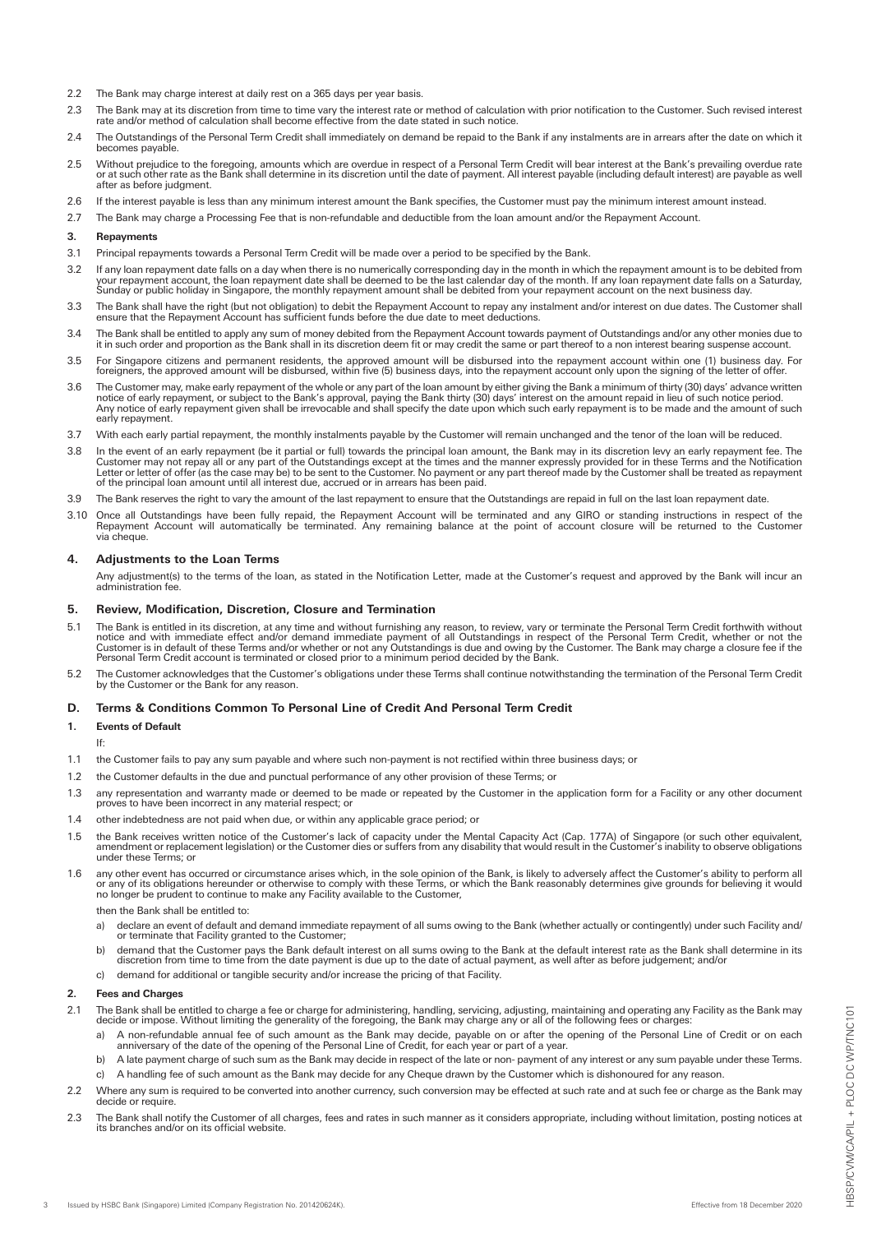- 2.2 The Bank may charge interest at daily rest on a 365 days per year basis.
- 2.3 The Bank may at its discretion from time to time vary the interest rate or method of calculation with prior notification to the Customer. Such revised interest<br>rate and/or method of calculation shall become effective f
- 2.4 The Outstandings of the Personal Term Credit shall immediately on demand be repaid to the Bank if any instalments are in arrears after the date on which it becomes payable.
- 2.5 Without prejudice to the foregoing, amounts which are overdue in respect of a Personal Term Credit will bear interest at the Bank's prevailing overdue rate<br>or at such other rate as the Bank shall determine in its discr after as before judgment.
- 2.6 If the interest payable is less than any minimum interest amount the Bank specifies, the Customer must pay the minimum interest amount instead.
- 2.7 The Bank may charge a Processing Fee that is non-refundable and deductible from the loan amount and/or the Repayment Account.

### **3. Repayments**

- 3.1 Principal repayments towards a Personal Term Credit will be made over a period to be specified by the Bank.
- 3.2 If any loan repayment date falls on a day when there is no numerically corresponding day in the month in which the repayment amount is to be debited from<br>your repayment account, the loan repayment date shall be deemed Sunday or public holiday in Singapore, the monthly repayment amount shall be debited from your repayment account on the next business day.
- 3.3 The Bank shall have the right (but not obligation) to debit the Repayment Account to repay any instalment and/or interest on due dates. The Customer shall<br>ensure that the Repayment Account has sufficient funds before t
- 3.4 The Bank shall be entitled to apply any sum of money debited from the Repayment Account towards payment of Outstandings and/or any other monies due to it in such order and proportion as the Bank shall in its discretion deem fit or may credit the same or part thereof to a non interest bearing suspense account.
- 3.5 For Singapore citizens and permanent residents, the approved amount will be disbursed into the repayment account within one (1) business day. For<br>foreigners, the approved amount will be disbursed, within five (5) busin
- 3.6 The Customer may, make early repayment of the whole or any part of the loan amount by either giving the Bank a minimum of thirty (30) days' advance written notice of early repayment, or subject to the Bank's approval, paying the Bank thirty (30) days' interest on the amount repaid in lieu of such notice period.<br>Any notice of early repayment given shall be irrevocable and shal early repayment.
- 3.7 With each early partial repayment, the monthly instalments payable by the Customer will remain unchanged and the tenor of the loan will be reduced.
- 3.8 In the event of an early repayment (be it partial or full) towards the principal loan amount, the Bank may in its discretion levy an early repayment fee. The Customer may not repay all or any part of the Outstandings except at the times and the manner expressly provided for in these Terms and the Notification<br>Letter or letter of offer (as the case may be) to be sent to the Cust of the principal loan amount until all interest due, accrued or in arrears has been paid.
- 3.9 The Bank reserves the right to vary the amount of the last repayment to ensure that the Outstandings are repaid in full on the last loan repayment date.
- 3.10 Once all Outstandings have been fully repaid, the Repayment Account will be terminated and any GIRO or standing instructions in respect of the<br>Repayment Account will automatically be terminated. Any remaining balance via cheque.

# **4. Adjustments to the Loan Terms**

Any adjustment(s) to the terms of the loan, as stated in the Notification Letter, made at the Customer's request and approved by the Bank will incur an administration fee.

# **5. Review, Modification, Discretion, Closure and Termination**

- 5.1 The Bank is entitled in its discretion, at any time and without furnishing any reason, to review, vary or terminate the Personal Term Credit forthwith without notice and without not only and immediate person of all Out
- 5.2 The Customer acknowledges that the Customer's obligations under these Terms shall continue notwithstanding the termination of the Personal Term Credit by the Customer or the Bank for any reason.

# **D. Terms & Conditions Common To Personal Line of Credit And Personal Term Credit**

**1. Events of Default**

If:

- 1.1 the Customer fails to pay any sum payable and where such non-payment is not rectified within three business days; or
- 1.2 the Customer defaults in the due and punctual performance of any other provision of these Terms; or
- 1.3 any representation and warranty made or deemed to be made or repeated by the Customer in the application form for a Facility or any other document proves to have been incorrect in any material respect; or
- 1.4 other indebtedness are not paid when due, or within any applicable grace period; or
- 1.5 the Bank receives written notice of the Customer's lack of capacity under the Mental Capacity Act (Cap. 177A) of Singapore (or such other equivalent,<br>amendment or replacement legislation) or the Customer dies or suffer under these Terms; or
- 1.6 any other event has occurred or circumstance arises which, in the sole opinion of the Bank, is likely to adversely affect the Customer's ability to perform all<br>or any of its obligations hereunder or otherwise to comply

then the Bank shall be entitled to:

- a) declare an event of default and demand immediate repayment of all sums owing to the Bank (whether actually or contingently) under such Facility and/ or terminate that Facility granted to the Customer;
- b) demand that the Customer pays the Bank default interest on all sums owing to the Bank at the default interest rate as the Bank shall determine in its discretion from time to time from the date payment is due up to the d
- c) demand for additional or tangible security and/or increase the pricing of that Facility.

#### **2. Fees and Charges**

- 2.1 The Bank shall be entitled to charge a fee or charge for administering, handling, servicing, adjusting, maintaining and operating any Facility as the Bank may decide or impose. Without limiting the generality of the foregoing, the Bank may charge any or all of the following fees or charges:
	- a) A non-refundable annual fee of such amount as the Bank may decide, payable on or after the opening of the Personal Line of Credit or on each<br>anniversary of the date of the opening of the Personal Line of Credit, for eac
	- b) A late payment charge of such sum as the Bank may decide in respect of the late or non- payment of any interest or any sum payable under these Terms.
	- c) A handling fee of such amount as the Bank may decide for any Cheque drawn by the Customer which is dishonoured for any reason.
- 2.2 Where any sum is required to be converted into another currency, such conversion may be effected at such rate and at such fee or charge as the Bank may decide or require.
- 2.3 The Bank shall notify the Customer of all charges, fees and rates in such manner as it considers appropriate, including without limitation, posting notices at its branches and/or on its official website.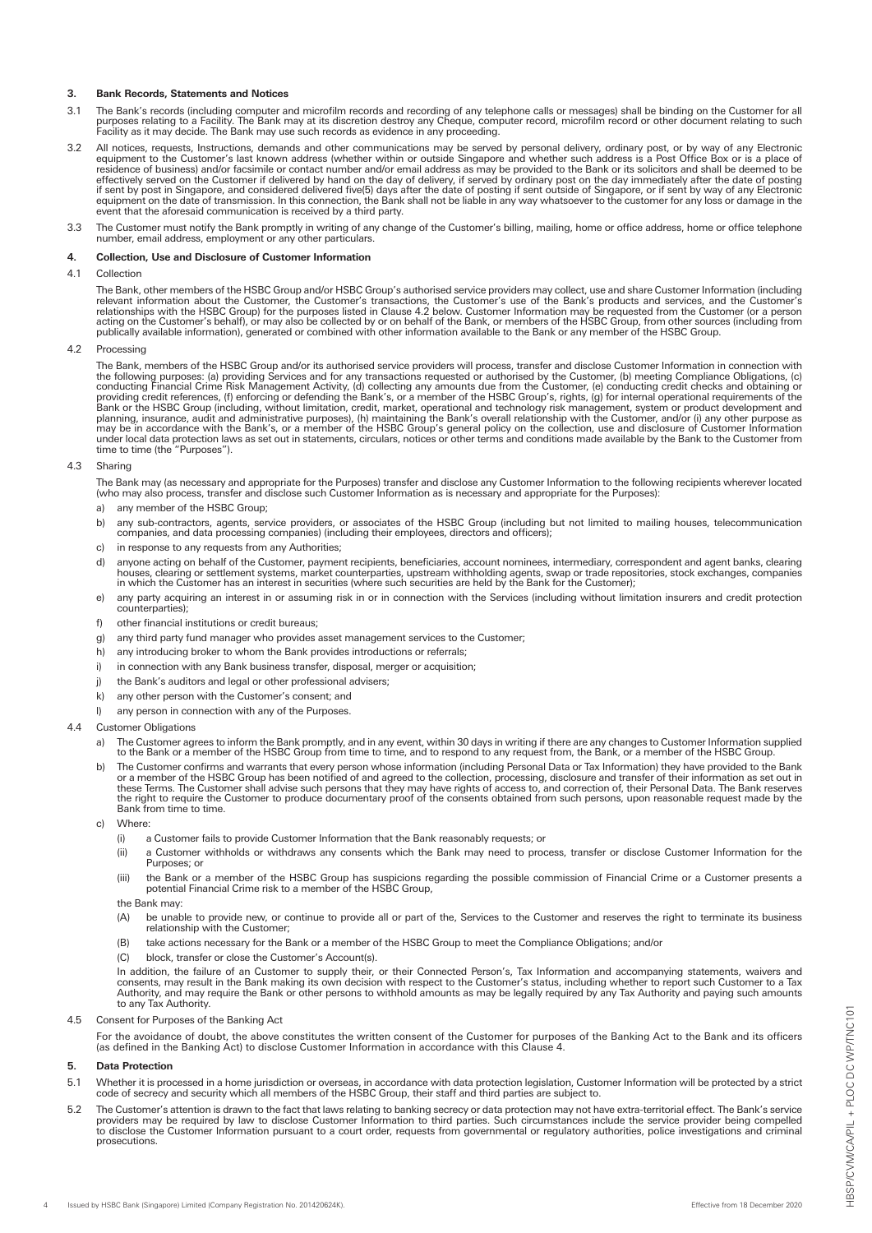# **3. Bank Records, Statements and Notices**

- 3.1 The Bank's records (including computer and microfilm records and recording of any telephone calls or messages) shall be binding on the Customer for all<br>purposes relating to a Facility The Bank may at its discretion des
- 3.2 All notices, requests, Instructions, demands and other communications may be served by personal delivery, ordinary post, or by way of any Electronic equipment to the Customer's last known address (whether within or outside Singapore and whether such address is a Post Office Box or is a place of<br>residence of business) and/or facsimile or contact number and/or email addr effectively served on the Customer if delivered by hand on the day of delivery, if served by ordinary post on the day immediately after the date of posting<br>if sent by post in Singapore, and considered delivered five(5) day event that the aforesaid communication is received by a third party.
- 3.3 The Customer must notify the Bank promptly in writing of any change of the Customer's billing, mailing, home or office address, home or office telephone number, email address, employment or any other particulars.

### **4. Collection, Use and Disclosure of Customer Information**

### 4.1 Collection

The Bank, other members of the HSBC Group and/or HSBC Group's authorised service providers may collect, use and share Customer Information (including<br>relevant information about the Customer, the Customer's transactions, th

### 4.2 Processing

The Bank, members of the HSBC Group and/or its authorised service providers will process, transfer and disclose Customer Information in connection with the following purposes: (a) providing Services and for any transactions requested or authorised by the Customer, (b) meeting Compliance Obligations, (c) conducting Financial Crime Risk Management Activity, (d) collectring

# 4.3 Sharing

The Bank may (as necessary and appropriate for the Purposes) transfer and disclose any Customer Information to the following recipients wherever located<br>(who may also process, transfer and disclose such Customer Informatio

- a) any member of the HSBC Group;
- b) any sub-contractors, agents, service providers, or associates of the HSBC Group (including but not limited to mailing houses, telecommunication companies, and data processing companies) (including their employees, directors and officers);
- c) in response to any requests from any Authorities;
- d) anyone acting on behalf of the Customer, payment recipients, beneficiaries, account nominees, intermediary, correspondent and agent banks, clearing<br>houses, clearing or settlement systems, market counterparties, upstream
- e) any party acquiring an interest in or assuming risk in or in connection with the Services (including without limitation insurers and credit protection counterparties);
- f) other financial institutions or credit bureaus;
- g) any third party fund manager who provides asset management services to the Customer;
- h) any introducing broker to whom the Bank provides introductions or referrals;
- i) in connection with any Bank business transfer, disposal, merger or acquisition;
- j) the Bank's auditors and legal or other professional advisers;
- k) any other person with the Customer's consent; and
- l) any person in connection with any of the Purposes.
- 4.4 Customer Obligations
	- a) The Customer agrees to inform the Bank promptly, and in any event, within 30 days in writing if there are any changes to Customer Information supplied<br>to the Bank or a member of the HSBC Group from time to time, and to
	- b) The Customer confirms and warrants that every person whose information (including Personal Data or Tax Information) they have provided to the Bank or a member of the HSBC Group has been notified of and agreed to the collection, processing, disclosure and transfer of their information as set out in<br>these Terms. The Customer shall advise such persons that they may have the right to require the Customer to produce documentary proof of the consents obtained from such persons, upon reasonable request made by the Bank from time to time.
	- c) Where:
		- (i) a Customer fails to provide Customer Information that the Bank reasonably requests; or
		- (ii) a Customer withholds or withdraws any consents which the Bank may need to process, transfer or disclose Customer Information for the Purposes; or
		- (iii) the Bank or a member of the HSBC Group has suspicions regarding the possible commission of Financial Crime or a Customer presents a potential Financial Crime risk to a member of the HSBC Group,
		- the Bank may:
		- (A) be unable to provide new, or continue to provide all or part of the, Services to the Customer and reserves the right to terminate its business relationship with the Customer;
		- (B) take actions necessary for the Bank or a member of the HSBC Group to meet the Compliance Obligations; and/or
		- (C) block, transfer or close the Customer's Account(s).

In addition, the failure of an Customer to supply their, or their Connected Person's, Tax Information and accompanying statements, waivers and<br>consents, may result in the Bank making its own decision with respect to the Cu Authority, and may require the Bank or other persons to withhold amounts as may be legally required by any Tax Authority and paying such amounts to any Tax Authority.

4.5 Consent for Purposes of the Banking Act

For the avoidance of doubt, the above constitutes the written consent of the Customer for purposes of the Banking Act to the Bank and its officers<br>(as defined in the Banking Act) to disclose Customer Information in accorda

# **5. Data Protection**

- 5.1 Whether it is processed in a home jurisdiction or overseas, in accordance with data protection legislation, Customer Information will be protected by a strict code of secrecy and security which all members of the HSBC Group, their staff and third parties are subject to.
- 5.2 The Customer's attention is drawn to the fact that laws relating to banking secrecy or data protection may not have extra-territorial effect. The Bank's service providers may be required by law to disclose Customer Information to third parties. Such circumstances include the service provider being compelled<br>to disclose the Customer Information pursuant to a court order, requests f prosecutions.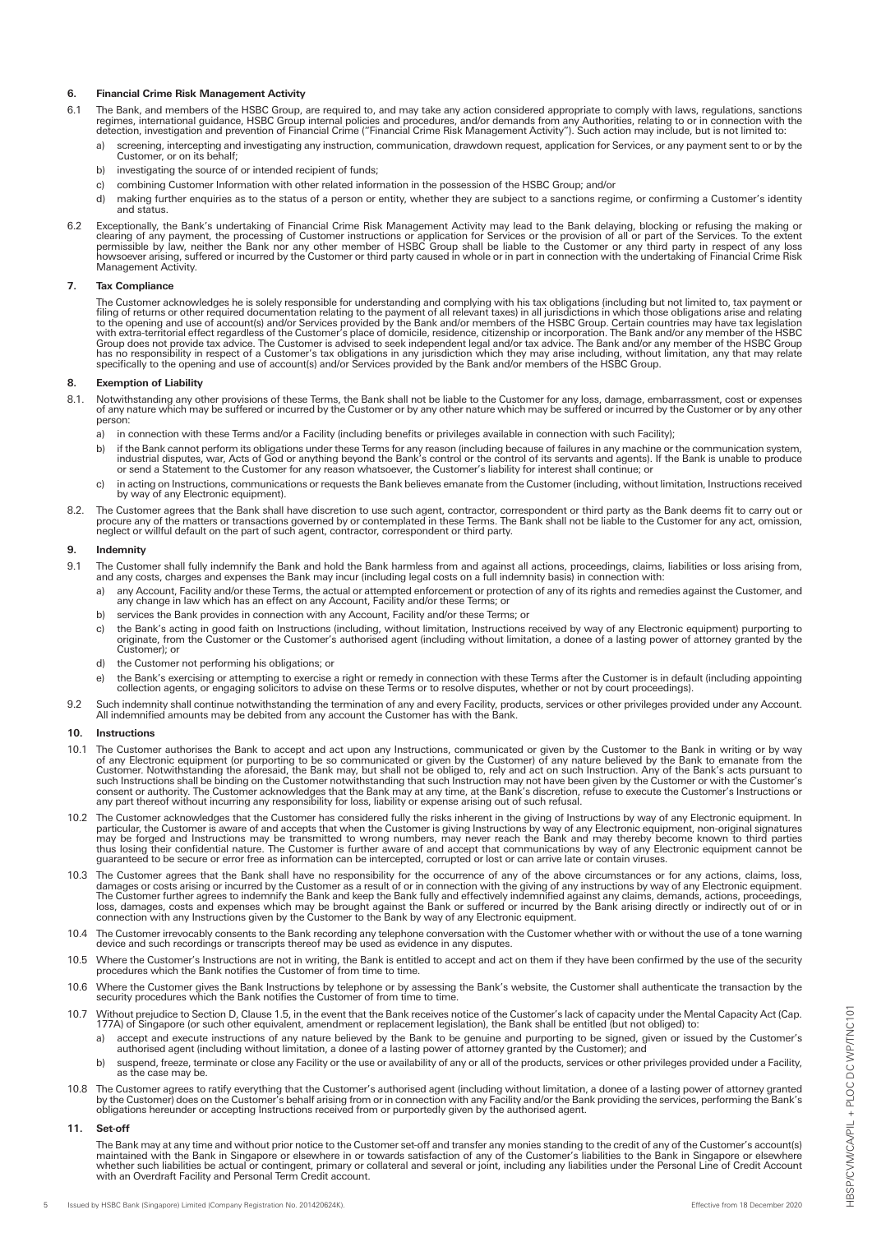# **6. Financial Crime Risk Management Activity**

- 6.1 The Bank, and members of the HSBC Group, are required to, and may take any action considered appropriate to comply with laws, regulations, sanctions<br>regimes, international guidance, HSBC Group internal policies and pro
	- a) screening, intercepting and investigating any instruction, communication, drawdown request, application for Services, or any payment sent to or by the Customer, or on its behalf;
	- b) investigating the source of or intended recipient of funds:
	- c) combining Customer Information with other related information in the possession of the HSBC Group; and/or
	- d) making further enquiries as to the status of a person or entity, whether they are subject to a sanctions regime, or confirming a Customer's identity and status.
- 6.2 Exceptionally, the Bank's undertaking of Financial Crime Risk Management Activity may lead to the Bank delaying, blocking or refusing the making or clearing of customer instructions or allow the making or clearing of e Management Activity.

# **7. Tax Compliance**

The Customer acknowledges he is solely responsible for understanding and complying with his tax obligations (including but not limited to, tax payment or filling of returns or other required documentation relating of or th

### **8. Exemption of Liability**

- 8.1. Notwithstanding any other provisions of these Terms, the Bank shall not be liable to the Customer for any loss, damage, embarrassment, cost or expenses<br>of any nature which may be suffered or incurred by the Customer o person:
	- a) in connection with these Terms and/or a Facility (including benefits or privileges available in connection with such Facility);
	- b) if the Bank cannot perform its obligations under these Terms for any reason (including because of failures in any machine or the communication system, industrial disputes, war, Acts of God or anything beyond the Bank's
	- c) in acting on Instructions, communications or requests the Bank believes emanate from the Customer (including, without limitation, Instructions received by way of any Electronic equipment).
- 8.2. The Customer agrees that the Bank shall have discretion to use such agent, contractor, correspondent or third party as the Bank deems fit to carry out or<br>procure any of the matters or transactions governed by or conte

### **9. Indemnity**

- 9.1 The Customer shall fully indemnify the Bank and hold the Bank harmless from and against all actions, proceedings, claims, liabilities or loss arising from, and any costs, charges and expenses the Bank may incur (including legal costs on a full indemnity basis) in connection with:
	- a) any Account, Facility and/or these Terms, the actual or attempted enforcement or protection of any of its rights and remedies against the Customer, and<br>any change in law which has an effect on any Account, Facility and/
	- b) services the Bank provides in connection with any Account, Facility and/or these Terms; or
	- c) the Bank's acting in good faith on Instructions (including, without limitation, Instructions received by way of any Electronic equipment) purporting to originate, from the Customer or the Customer's authorised agent (including without limitation, a donee of a lasting power of attorney granted by the Customer); or
	- d) the Customer not performing his obligations; or
	- e) the Bank's exercising or attempting to exercise a right or remedy in connection with these Terms after the Customer is in default (including appointing<br>collection agents, or engaging solicitors to advise on these Terms
- 9.2 Such indemnity shall continue notwithstanding the termination of any and every Facility, products, services or other privileges provided under any Account.<br>All indemnified amounts may be debited from any account the Cu

#### **10. Instructions**

- 10.1 The Customer authorises the Bank to accept and act upon any Instructions, communicated or given by the Customer to the Bank in writing or by way<br>of any Electronic equipment (or purporting to be so communicated or give
- 10.2 The Customer acknowledges that the Customer has considered fully the risks inherent in the giving of Instructions by way of any Electronic equipment. In particular, the Customer is aware of and accepts that when the Customer is giving Instructions by way of any Electronic equipment, non-original signatures<br>may be forged and Instructions may be transmitted to wrong numbers,
- 10.3 The Customer agrees that the Bank shall have no responsibility for the occurrence of any of the above circumstances or for any actions, claims, loss, damages or costs arising or incurred by the Customer as a result of
- 10.4 The Customer irrevocably consents to the Bank recording any telephone conversation with the Customer whether with or without the use of a tone warning<br>device and such recordings or transcripts thereof may be used as e
- 10.5 Where the Customer's Instructions are not in writing, the Bank is entitled to accept and act on them if they have been confirmed by the use of the security procedures which the Bank notifies the Customer of from time
- 10.6 Where the Customer gives the Bank Instructions by telephone or by assessing the Bank's website, the Customer shall authenticate the transaction by the security procedures which the Bank notifies the Customer of from time to time.
- 10.7 Without prejudice to Section D, Clause 1.5, in the event that the Bank receives notice of the Customer's lack of capacity under the Mental Capacity Act (Cap.<br>177A) of Singapore (or such other equivalent, amendment or
	- a) accept and execute instructions of any nature believed by the Bank to be genuine and purporting to be signed, given or issued by the Customer's authorised agent (including without limitation, a donee of a lasting power
	- b) suspend, freeze, terminate or close any Facility or the use or availability of any or all of the products, services or other privileges provided under a Facility, as the case may be.
- 10.8 The Customer agrees to ratify everything that the Customer's authorised agent (including without limitation, a donee of a lasting power of attorney granted<br>by the Customer) does on the Customer's behalf arising from o

#### **11. Set-off**

The Bank may at any time and without prior notice to the Customer set-off and transfer any monies standing to the credit of any of the Customer's account(s)<br>maintained with the Bank in Singapore or elsewhere in or towards with an Overdraft Facility and Personal Term Credit account.